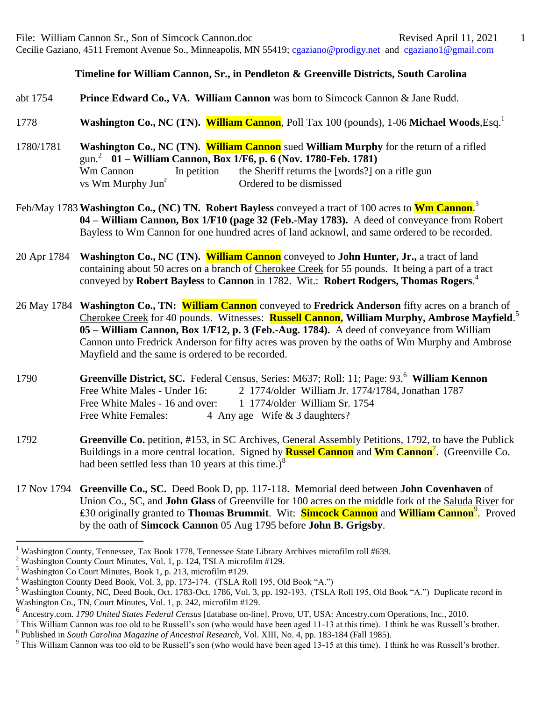## **Timeline for William Cannon, Sr., in Pendleton & Greenville Districts, South Carolina**

## abt 1754 **Prince Edward Co., VA. William Cannon** was born to Simcock Cannon & Jane Rudd.

1778 **Washington Co., NC (TN). William Cannon**, Poll Tax 100 (pounds), 1-06 **Michael Woods**,Esq.<sup>1</sup>

## 1780/1781 **Washington Co., NC (TN). William Cannon** sued **William Murphy** for the return of a rifled gun. 2 **01 – William Cannon, Box 1/F6, p. 6 (Nov. 1780-Feb. 1781)** Wm Cannon In petition the Sheriff returns the [words?] on a rifle gun vs Wm Murphy Jun<sup>r</sup> Ordered to be dismissed

- Feb/May 1783**Washington Co., (NC) TN. Robert Bayless** conveyed a tract of 100 acres to **Wm Cannon**. 3 **04 – William Cannon, Box 1/F10 (page 32 (Feb.-May 1783).** A deed of conveyance from Robert Bayless to Wm Cannon for one hundred acres of land acknowl, and same ordered to be recorded.
- 20 Apr 1784 **Washington Co., NC (TN). William Cannon** conveyed to **John Hunter, Jr.,** a tract of land containing about 50 acres on a branch of Cherokee Creek for 55 pounds. It being a part of a tract conveyed by **Robert Bayless** to **Cannon** in 1782. Wit.: **Robert Rodgers, Thomas Rogers**. 4
- 26 May 1784 **Washington Co., TN: William Cannon** conveyed to **Fredrick Anderson** fifty acres on a branch of Cherokee Creek for 40 pounds. Witnesses: **Russell Cannon**, William Murphy, Ambrose Mayfield.<sup>5</sup> **05 – William Cannon, Box 1/F12, p. 3 (Feb.-Aug. 1784).** A deed of conveyance from William Cannon unto Fredrick Anderson for fifty acres was proven by the oaths of Wm Murphy and Ambrose Mayfield and the same is ordered to be recorded.
- 1790 **Greenville District, SC.** Federal Census, Series: M637; Roll: 11; Page: 93.<sup>6</sup> **William Kennon** Free White Males - Under 16: 2 1774/older William Jr. 1774/1784, Jonathan 1787 Free White Males - 16 and over: 1 1774/older William Sr. 1754 Free White Females: 4 Any age Wife & 3 daughters?
- 1792 **Greenville Co.** petition, #153, in SC Archives, General Assembly Petitions, 1792, to have the Publick Buildings in a more central location. Signed by **Russel Cannon** and **Wm Cannon**<sup>7</sup> . (Greenville Co. had been settled less than 10 years at this time.) $8<sup>8</sup>$
- 17 Nov 1794 **Greenville Co., SC.** Deed Book D, pp. 117-118. Memorial deed between **John Covenhaven** of Union Co., SC, and **John Glass** of Greenville for 100 acres on the middle fork of the Saluda River for ₤30 originally granted to **Thomas Brummit**. Wit: **Simcock Cannon** and **William Cannon**<sup>9</sup> . Proved by the oath of **Simcock Cannon** 05 Aug 1795 before **John B. Grigsby**.

 $\overline{a}$ 

<sup>&</sup>lt;sup>1</sup> Washington County, Tennessee, Tax Book 1778, Tennessee State Library Archives microfilm roll #639.

<sup>&</sup>lt;sup>2</sup> Washington County Court Minutes, Vol. 1, p. 124, TSLA microfilm #129.

<sup>3</sup> Washington Co Court Minutes, Book 1, p. 213, microfilm #129.

<sup>&</sup>lt;sup>4</sup> Washington County Deed Book, Vol. 3, pp. 173-174. (TSLA Roll 195, Old Book "A.")

<sup>&</sup>lt;sup>5</sup> Washington County, NC, Deed Book, Oct. 1783-Oct. 1786, Vol. 3, pp. 192-193. (TSLA Roll 195, Old Book "A.") Duplicate record in Washington Co., TN, Court Minutes, Vol. 1, p. 242, microfilm #129.

<sup>6</sup> Ancestry.com. *1790 United States Federal Census* [database on-line]. Provo, UT, USA: Ancestry.com Operations, Inc., 2010.

 $^7$  This William Cannon was too old to be Russell's son (who would have been aged 11-13 at this time). I think he was Russell's brother.

<sup>8</sup> Published in *South Carolina Magazine of Ancestral Research*, Vol. XIII, No. 4, pp. 183-184 (Fall 1985).

 $9$  This William Cannon was too old to be Russell's son (who would have been aged 13-15 at this time). I think he was Russell's brother.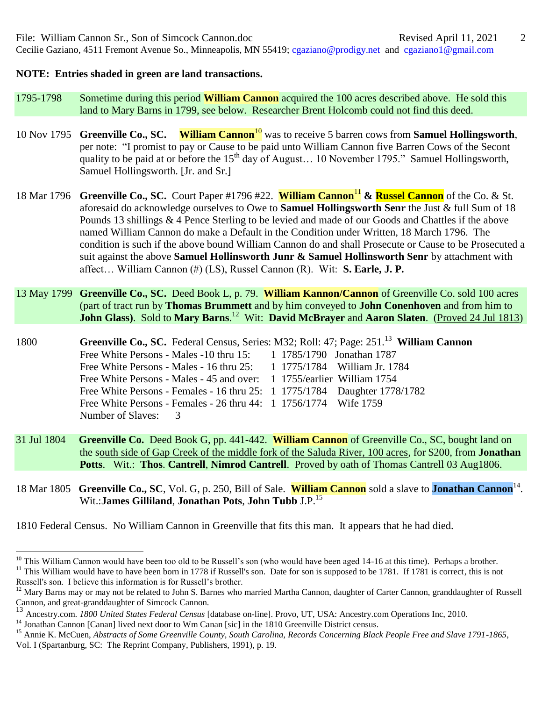## **NOTE: Entries shaded in green are land transactions.**

- 1795-1798 Sometime during this period **William Cannon** acquired the 100 acres described above. He sold this land to Mary Barns in 1799, see below. Researcher Brent Holcomb could not find this deed.
- 10 Nov 1795 **Greenville Co., SC. William Cannon**<sup>10</sup> was to receive 5 barren cows from **Samuel Hollingsworth**, per note: "I promist to pay or Cause to be paid unto William Cannon five Barren Cows of the Secont quality to be paid at or before the  $15<sup>th</sup>$  day of August... 10 November 1795." Samuel Hollingsworth, Samuel Hollingsworth. [Jr. and Sr.]
- 18 Mar 1796 **Greenville Co., SC.** Court Paper #1796 #22. **William Cannon**<sup>11</sup> **& Russel Cannon** of the Co. & St. aforesaid do acknowledge ourselves to Owe to **Samuel Hollingsworth Senr** the Just & full Sum of 18 Pounds 13 shillings & 4 Pence Sterling to be levied and made of our Goods and Chattles if the above named William Cannon do make a Default in the Condition under Written, 18 March 1796. The condition is such if the above bound William Cannon do and shall Prosecute or Cause to be Prosecuted a suit against the above **Samuel Hollinsworth Junr & Samuel Hollinsworth Senr** by attachment with affect… William Cannon (#) (LS), Russel Cannon (R). Wit: **S. Earle, J. P.**
- 13 May 1799 **Greenville Co., SC.** Deed Book L, p. 79. **William Kannon/Cannon** of Greenville Co. sold 100 acres (part of tract run by **Thomas Brummett** and by him conveyed to **John Conenhoven** and from him to **John Glass**). Sold to Mary Barns.<sup>12</sup> Wit: David McBrayer and Aaron Slaten. (Proved 24 Jul 1813)

1800 **Greenville Co., SC.** Federal Census, Series: M32; Roll: 47; Page: 251.<sup>13</sup> **William Cannon** Free White Persons - Males -10 thru 15: 1 1785/1790 Jonathan 1787 Free White Persons - Males - 16 thru 25: 1 1775/1784 William Jr. 1784 Free White Persons - Males - 45 and over: 1 1755/earlier William 1754 Free White Persons - Females - 16 thru 25: 1 1775/1784 Daughter 1778/1782 Free White Persons - Females - 26 thru 44: 1 1756/1774 Wife 1759 Number of Slaves: 3

- 31 Jul 1804 **Greenville Co.** Deed Book G, pp. 441-442. **William Cannon** of Greenville Co., SC, bought land on the south side of Gap Creek of the middle fork of the Saluda River, 100 acres, for \$200, from **Jonathan Potts**. Wit.: **Thos**. **Cantrell**, **Nimrod Cantrell**. Proved by oath of Thomas Cantrell 03 Aug1806.
- 18 Mar 1805 **Greenville Co., SC**, Vol. G, p. 250, Bill of Sale. **William Cannon** sold a slave to **Jonathan Cannon**<sup>14</sup>. Wit.:**James Gilliland**, **Jonathan Pots**, **John Tubb** J.P.<sup>15</sup>

1810 Federal Census. No William Cannon in Greenville that fits this man. It appears that he had died.

 $\overline{a}$ 

<sup>&</sup>lt;sup>10</sup> This William Cannon would have been too old to be Russell's son (who would have been aged 14-16 at this time). Perhaps a brother.

<sup>&</sup>lt;sup>11</sup> This William would have to have been born in 1778 if Russell's son. Date for son is supposed to be 1781. If 1781 is correct, this is not Russell's son. I believe this information is for Russell's brother.

 $12$  Mary Barns may or may not be related to John S. Barnes who married Martha Cannon, daughter of Carter Cannon, granddaughter of Russell Cannon, and great-granddaughter of Simcock Cannon.

<sup>13</sup> Ancestry.com. *1800 United States Federal Census* [database on-line]. Provo, UT, USA: Ancestry.com Operations Inc, 2010.

<sup>&</sup>lt;sup>14</sup> Jonathan Cannon [Canan] lived next door to Wm Canan [sic] in the 1810 Greenville District census.

<sup>&</sup>lt;sup>15</sup> Annie K. McCuen, *Abstracts of Some Greenville County, South Carolina, Records Concerning Black People Free and Slave 1791-1865,* Vol. I (Spartanburg, SC: The Reprint Company, Publishers, 1991), p. 19.